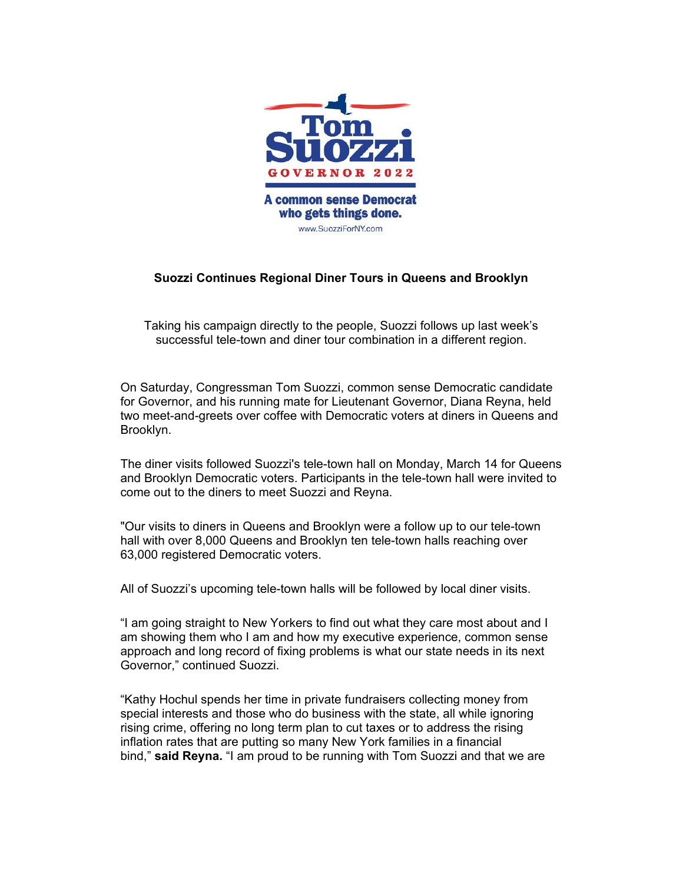

## **Suozzi Continues Regional Diner Tours in Queens and Brooklyn**

Taking his campaign directly to the people, Suozzi follows up last week's successful tele-town and diner tour combination in a different region.

On Saturday, Congressman Tom Suozzi, common sense Democratic candidate for Governor, and his running mate for Lieutenant Governor, Diana Reyna, held two meet-and-greets over coffee with Democratic voters at diners in Queens and Brooklyn.

The diner visits followed Suozzi's tele-town hall on Monday, March 14 for Queens and Brooklyn Democratic voters. Participants in the tele-town hall were invited to come out to the diners to meet Suozzi and Reyna.

"Our visits to diners in Queens and Brooklyn were a follow up to our tele-town hall with over 8,000 Queens and Brooklyn ten tele-town halls reaching over 63,000 registered Democratic voters.

All of Suozzi's upcoming tele-town halls will be followed by local diner visits.

"I am going straight to New Yorkers to find out what they care most about and I am showing them who I am and how my executive experience, common sense approach and long record of fixing problems is what our state needs in its next Governor," continued Suozzi.

"Kathy Hochul spends her time in private fundraisers collecting money from special interests and those who do business with the state, all while ignoring rising crime, offering no long term plan to cut taxes or to address the rising inflation rates that are putting so many New York families in a financial bind," **said Reyna.** "I am proud to be running with Tom Suozzi and that we are